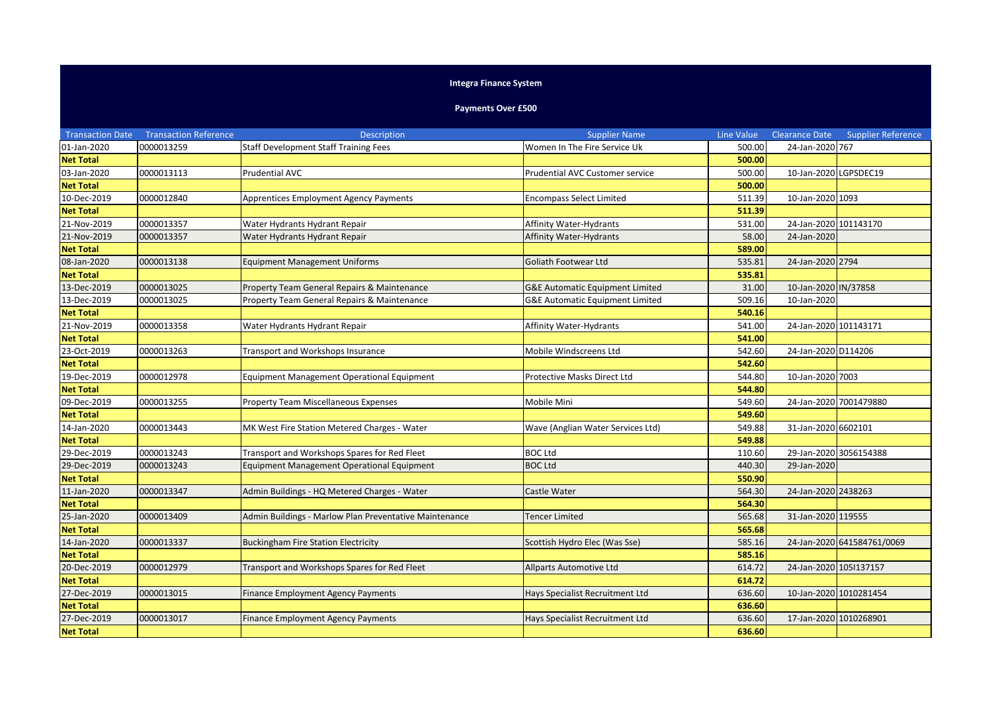## **Integra Finance System**

## **Payments Over £500**

| <b>Transaction Date</b> | <b>Transaction Reference</b> | <b>Description</b>                                     | <b>Supplier Name</b>              | Line Value | <b>Clearance Date</b>  | <b>Supplier Reference</b>  |
|-------------------------|------------------------------|--------------------------------------------------------|-----------------------------------|------------|------------------------|----------------------------|
| 01-Jan-2020             | 0000013259                   | <b>Staff Development Staff Training Fees</b>           | Women In The Fire Service Uk      | 500.00     | 24-Jan-2020 767        |                            |
| <b>Net Total</b>        |                              |                                                        |                                   | 500.00     |                        |                            |
| 03-Jan-2020             | 0000013113                   | <b>Prudential AVC</b>                                  | Prudential AVC Customer service   | 500.00     | 10-Jan-2020 LGPSDEC19  |                            |
| <b>Net Total</b>        |                              |                                                        |                                   | 500.00     |                        |                            |
| 10-Dec-2019             | 0000012840                   | <b>Apprentices Employment Agency Payments</b>          | <b>Encompass Select Limited</b>   | 511.39     | 10-Jan-2020 1093       |                            |
| <b>Net Total</b>        |                              |                                                        |                                   | 511.39     |                        |                            |
| 21-Nov-2019             | 0000013357                   | Water Hydrants Hydrant Repair                          | Affinity Water-Hydrants           | 531.00     | 24-Jan-2020 101143170  |                            |
| 21-Nov-2019             | 0000013357                   | Water Hydrants Hydrant Repair                          | <b>Affinity Water-Hydrants</b>    | 58.00      | 24-Jan-2020            |                            |
| <b>Net Total</b>        |                              |                                                        |                                   | 589.00     |                        |                            |
| 08-Jan-2020             | 0000013138                   | <b>Equipment Management Uniforms</b>                   | Goliath Footwear Ltd              | 535.81     | 24-Jan-2020 2794       |                            |
| <b>Net Total</b>        |                              |                                                        |                                   | 535.81     |                        |                            |
| 13-Dec-2019             | 0000013025                   | Property Team General Repairs & Maintenance            | G&E Automatic Equipment Limited   | 31.00      | 10-Jan-2020 IN/37858   |                            |
| 13-Dec-2019             | 0000013025                   | Property Team General Repairs & Maintenance            | G&E Automatic Equipment Limited   | 509.16     | 10-Jan-2020            |                            |
| <b>Net Total</b>        |                              |                                                        |                                   | 540.16     |                        |                            |
| 21-Nov-2019             | 0000013358                   | Water Hydrants Hydrant Repair                          | <b>Affinity Water-Hydrants</b>    | 541.00     | 24-Jan-2020 101143171  |                            |
| <b>Net Total</b>        |                              |                                                        |                                   | 541.00     |                        |                            |
| 23-Oct-2019             | 0000013263                   | Transport and Workshops Insurance                      | Mobile Windscreens Ltd            | 542.60     | 24-Jan-2020 D114206    |                            |
| <b>Net Total</b>        |                              |                                                        |                                   | 542.60     |                        |                            |
| 19-Dec-2019             | 0000012978                   | <b>Equipment Management Operational Equipment</b>      | Protective Masks Direct Ltd       | 544.80     | 10-Jan-2020 7003       |                            |
| <b>Net Total</b>        |                              |                                                        |                                   | 544.80     |                        |                            |
| 09-Dec-2019             | 0000013255                   | <b>Property Team Miscellaneous Expenses</b>            | Mobile Mini                       | 549.60     | 24-Jan-2020 7001479880 |                            |
| <b>Net Total</b>        |                              |                                                        |                                   | 549.60     |                        |                            |
| 14-Jan-2020             | 0000013443                   | MK West Fire Station Metered Charges - Water           | Wave (Anglian Water Services Ltd) | 549.88     | 31-Jan-2020 6602101    |                            |
| <b>Net Total</b>        |                              |                                                        |                                   | 549.88     |                        |                            |
| 29-Dec-2019             | 0000013243                   | Transport and Workshops Spares for Red Fleet           | <b>BOC Ltd</b>                    | 110.60     | 29-Jan-2020 3056154388 |                            |
| 29-Dec-2019             | 0000013243                   | Equipment Management Operational Equipment             | <b>BOC Ltd</b>                    | 440.30     | 29-Jan-2020            |                            |
| <b>Net Total</b>        |                              |                                                        |                                   | 550.90     |                        |                            |
| 11-Jan-2020             | 0000013347                   | Admin Buildings - HQ Metered Charges - Water           | Castle Water                      | 564.30     | 24-Jan-2020 2438263    |                            |
| <b>Net Total</b>        |                              |                                                        |                                   | 564.30     |                        |                            |
| 25-Jan-2020             | 0000013409                   | Admin Buildings - Marlow Plan Preventative Maintenance | <b>Tencer Limited</b>             | 565.68     | 31-Jan-2020 119555     |                            |
| <b>Net Total</b>        |                              |                                                        |                                   | 565.68     |                        |                            |
| 14-Jan-2020             | 0000013337                   | <b>Buckingham Fire Station Electricity</b>             | Scottish Hydro Elec (Was Sse)     | 585.16     |                        | 24-Jan-2020 641584761/0069 |
| <b>Net Total</b>        |                              |                                                        |                                   | 585.16     |                        |                            |
| 20-Dec-2019             | 0000012979                   | Transport and Workshops Spares for Red Fleet           | <b>Allparts Automotive Ltd</b>    | 614.72     | 24-Jan-2020 1051137157 |                            |
| <b>Net Total</b>        |                              |                                                        |                                   | 614.72     |                        |                            |
| 27-Dec-2019             | 0000013015                   | Finance Employment Agency Payments                     | Hays Specialist Recruitment Ltd   | 636.60     | 10-Jan-2020 1010281454 |                            |
| <b>Net Total</b>        |                              |                                                        |                                   | 636.60     |                        |                            |
| 27-Dec-2019             | 0000013017                   | Finance Employment Agency Payments                     | Hays Specialist Recruitment Ltd   | 636.60     | 17-Jan-2020 1010268901 |                            |
| <b>Net Total</b>        |                              |                                                        |                                   | 636.60     |                        |                            |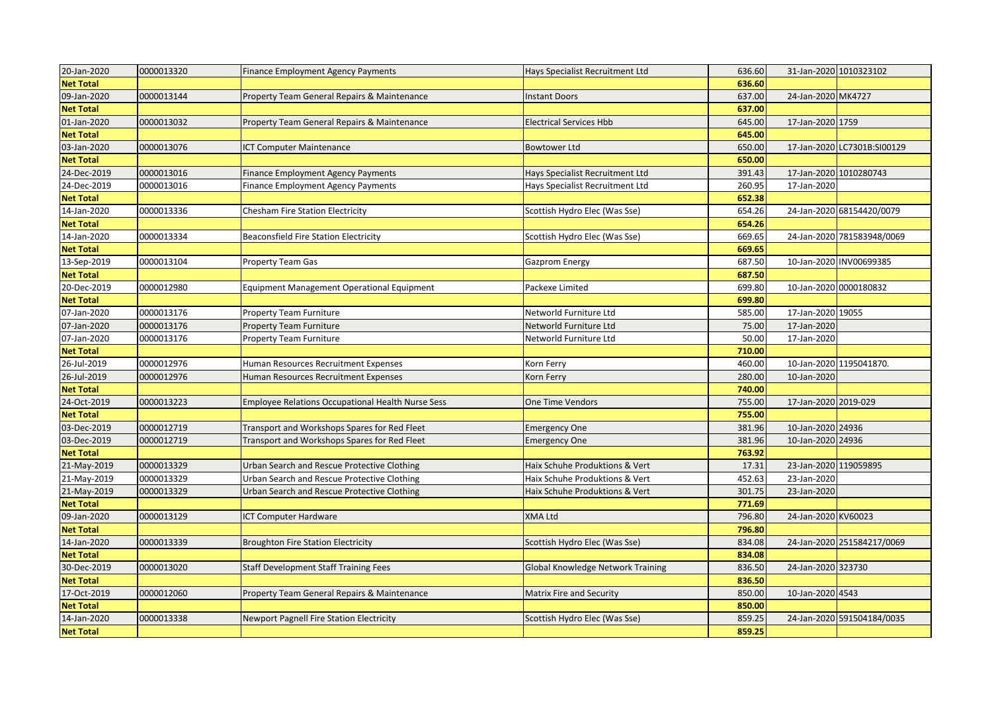| 20-Jan-2020      | 0000013320 | <b>Finance Employment Agency Payments</b>                | Hays Specialist Recruitment Ltd          | 636.60 | 31-Jan-2020 1010323102 |                             |
|------------------|------------|----------------------------------------------------------|------------------------------------------|--------|------------------------|-----------------------------|
| <b>Net Total</b> |            |                                                          |                                          | 636.60 |                        |                             |
| 09-Jan-2020      | 0000013144 | Property Team General Repairs & Maintenance              | <b>Instant Doors</b>                     | 637.00 | 24-Jan-2020 MK4727     |                             |
| <b>Net Total</b> |            |                                                          |                                          | 637.00 |                        |                             |
| 01-Jan-2020      | 0000013032 | Property Team General Repairs & Maintenance              | <b>Electrical Services Hbb</b>           | 645.00 | 17-Jan-2020 1759       |                             |
| <b>Net Total</b> |            |                                                          |                                          | 645.00 |                        |                             |
| 03-Jan-2020      | 0000013076 | <b>ICT Computer Maintenance</b>                          | <b>Bowtower Ltd</b>                      | 650.00 |                        | 17-Jan-2020 LC7301B:SI00129 |
| <b>Net Total</b> |            |                                                          |                                          | 650.00 |                        |                             |
| 24-Dec-2019      | 0000013016 | <b>Finance Employment Agency Payments</b>                | Hays Specialist Recruitment Ltd          | 391.43 | 17-Jan-2020 1010280743 |                             |
| 24-Dec-2019      | 0000013016 | <b>Finance Employment Agency Payments</b>                | Hays Specialist Recruitment Ltd          | 260.95 | 17-Jan-2020            |                             |
| <b>Net Total</b> |            |                                                          |                                          | 652.38 |                        |                             |
| 14-Jan-2020      | 0000013336 | Chesham Fire Station Electricity                         | Scottish Hydro Elec (Was Sse)            | 654.26 |                        | 24-Jan-2020 68154420/0079   |
| <b>Net Total</b> |            |                                                          |                                          | 654.26 |                        |                             |
| 14-Jan-2020      | 0000013334 | <b>Beaconsfield Fire Station Electricity</b>             | Scottish Hydro Elec (Was Sse)            | 669.65 |                        | 24-Jan-2020 781583948/0069  |
| <b>Net Total</b> |            |                                                          |                                          | 669.65 |                        |                             |
| 13-Sep-2019      | 0000013104 | <b>Property Team Gas</b>                                 | Gazprom Energy                           | 687.50 |                        | 10-Jan-2020 INV00699385     |
| <b>Net Total</b> |            |                                                          |                                          | 687.50 |                        |                             |
| 20-Dec-2019      | 0000012980 | <b>Equipment Management Operational Equipment</b>        | Packexe Limited                          | 699.80 | 10-Jan-2020 0000180832 |                             |
| <b>Net Total</b> |            |                                                          |                                          | 699.80 |                        |                             |
| 07-Jan-2020      | 0000013176 | <b>Property Team Furniture</b>                           | Networld Furniture Ltd                   | 585.00 | 17-Jan-2020 19055      |                             |
| 07-Jan-2020      | 0000013176 | <b>Property Team Furniture</b>                           | Networld Furniture Ltd                   | 75.00  | 17-Jan-2020            |                             |
| 07-Jan-2020      | 0000013176 | Property Team Furniture                                  | Networld Furniture Ltd                   | 50.00  | 17-Jan-2020            |                             |
| <b>Net Total</b> |            |                                                          |                                          | 710.00 |                        |                             |
| 26-Jul-2019      | 0000012976 | Human Resources Recruitment Expenses                     | Korn Ferry                               | 460.00 |                        | 10-Jan-2020 1195041870.     |
| 26-Jul-2019      | 0000012976 | Human Resources Recruitment Expenses                     | Korn Ferry                               | 280.00 | 10-Jan-2020            |                             |
| <b>Net Total</b> |            |                                                          |                                          | 740.00 |                        |                             |
| 24-Oct-2019      | 0000013223 | <b>Employee Relations Occupational Health Nurse Sess</b> | One Time Vendors                         | 755.00 | 17-Jan-2020 2019-029   |                             |
| <b>Net Total</b> |            |                                                          |                                          | 755.00 |                        |                             |
| 03-Dec-2019      | 0000012719 | Transport and Workshops Spares for Red Fleet             | <b>Emergency One</b>                     | 381.96 | 10-Jan-2020 24936      |                             |
| 03-Dec-2019      | 0000012719 | Transport and Workshops Spares for Red Fleet             | <b>Emergency One</b>                     | 381.96 | 10-Jan-2020 24936      |                             |
| <b>Net Total</b> |            |                                                          |                                          | 763.92 |                        |                             |
| 21-May-2019      | 0000013329 | Urban Search and Rescue Protective Clothing              | Haix Schuhe Produktions & Vert           | 17.31  | 23-Jan-2020 119059895  |                             |
| 21-May-2019      | 0000013329 | Urban Search and Rescue Protective Clothing              | Haix Schuhe Produktions & Vert           | 452.63 | 23-Jan-2020            |                             |
| 21-May-2019      | 0000013329 | Urban Search and Rescue Protective Clothing              | Haix Schuhe Produktions & Vert           | 301.75 | 23-Jan-2020            |                             |
| <b>Net Total</b> |            |                                                          |                                          | 771.69 |                        |                             |
| 09-Jan-2020      | 0000013129 | <b>ICT Computer Hardware</b>                             | <b>XMA Ltd</b>                           | 796.80 | 24-Jan-2020 KV60023    |                             |
| <b>Net Total</b> |            |                                                          |                                          | 796.80 |                        |                             |
| 14-Jan-2020      | 0000013339 | <b>Broughton Fire Station Electricity</b>                | Scottish Hydro Elec (Was Sse)            | 834.08 |                        | 24-Jan-2020 251584217/0069  |
| <b>Net Total</b> |            |                                                          |                                          | 834.08 |                        |                             |
| 30-Dec-2019      | 0000013020 | <b>Staff Development Staff Training Fees</b>             | <b>Global Knowledge Network Training</b> | 836.50 | 24-Jan-2020 323730     |                             |
| <b>Net Total</b> |            |                                                          |                                          | 836.50 |                        |                             |
| 17-Oct-2019      | 0000012060 | Property Team General Repairs & Maintenance              | <b>Matrix Fire and Security</b>          | 850.00 | 10-Jan-2020 4543       |                             |
| <b>Net Total</b> |            |                                                          |                                          | 850.00 |                        |                             |
| 14-Jan-2020      | 0000013338 | <b>Newport Pagnell Fire Station Electricity</b>          | Scottish Hydro Elec (Was Sse)            | 859.25 |                        | 24-Jan-2020 591504184/0035  |
| <b>Net Total</b> |            |                                                          |                                          | 859.25 |                        |                             |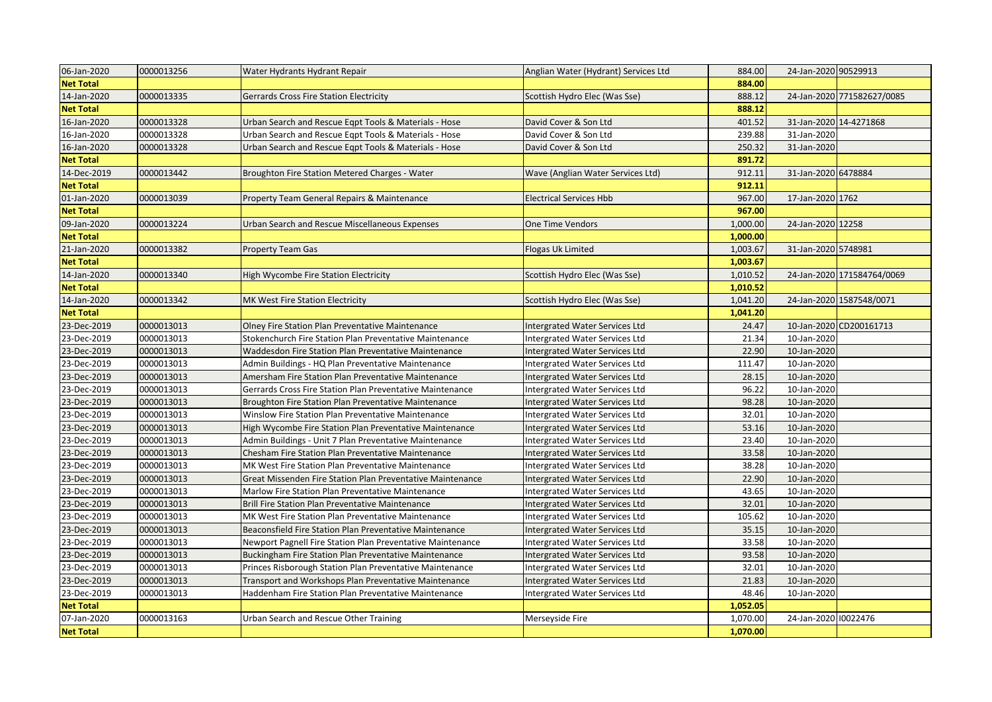| 06-Jan-2020      | 0000013256 | Water Hydrants Hydrant Repair                              | Anglian Water (Hydrant) Services Ltd  | 884.00   | 24-Jan-2020 90529913 |                            |
|------------------|------------|------------------------------------------------------------|---------------------------------------|----------|----------------------|----------------------------|
| <b>Net Total</b> |            |                                                            |                                       | 884.00   |                      |                            |
| 14-Jan-2020      | 0000013335 | <b>Gerrards Cross Fire Station Electricity</b>             | Scottish Hydro Elec (Was Sse)         | 888.12   |                      | 24-Jan-2020 771582627/0085 |
| <b>Net Total</b> |            |                                                            |                                       | 888.12   |                      |                            |
| 16-Jan-2020      | 0000013328 | Urban Search and Rescue Egpt Tools & Materials - Hose      | David Cover & Son Ltd                 | 401.52   |                      | 31-Jan-2020 14-4271868     |
| 16-Jan-2020      | 0000013328 | Urban Search and Rescue Eqpt Tools & Materials - Hose      | David Cover & Son Ltd                 | 239.88   | 31-Jan-2020          |                            |
| 16-Jan-2020      | 0000013328 | Urban Search and Rescue Eqpt Tools & Materials - Hose      | David Cover & Son Ltd                 | 250.32   | 31-Jan-2020          |                            |
| <b>Net Total</b> |            |                                                            |                                       | 891.72   |                      |                            |
| 14-Dec-2019      | 0000013442 | Broughton Fire Station Metered Charges - Water             | Wave (Anglian Water Services Ltd)     | 912.11   | 31-Jan-2020 6478884  |                            |
| <b>Net Total</b> |            |                                                            |                                       | 912.11   |                      |                            |
| 01-Jan-2020      | 0000013039 | Property Team General Repairs & Maintenance                | <b>Electrical Services Hbb</b>        | 967.00   | 17-Jan-2020 1762     |                            |
| <b>Net Total</b> |            |                                                            |                                       | 967.00   |                      |                            |
| 09-Jan-2020      | 0000013224 | Urban Search and Rescue Miscellaneous Expenses             | One Time Vendors                      | 1,000.00 | 24-Jan-2020 12258    |                            |
| <b>Net Total</b> |            |                                                            |                                       | 1,000.00 |                      |                            |
| 21-Jan-2020      | 0000013382 | <b>Property Team Gas</b>                                   | Flogas Uk Limited                     | 1,003.67 | 31-Jan-2020 5748981  |                            |
| <b>Net Total</b> |            |                                                            |                                       | 1,003.67 |                      |                            |
| 14-Jan-2020      | 0000013340 | High Wycombe Fire Station Electricity                      | Scottish Hydro Elec (Was Sse)         | 1,010.52 |                      | 24-Jan-2020 171584764/0069 |
| <b>Net Total</b> |            |                                                            |                                       | 1,010.52 |                      |                            |
| 14-Jan-2020      | 0000013342 | MK West Fire Station Electricity                           | Scottish Hydro Elec (Was Sse)         | 1,041.20 |                      | 24-Jan-2020 1587548/0071   |
| <b>Net Total</b> |            |                                                            |                                       | 1,041.20 |                      |                            |
| 23-Dec-2019      | 0000013013 | Olney Fire Station Plan Preventative Maintenance           | Intergrated Water Services Ltd        | 24.47    |                      | 10-Jan-2020 CD200161713    |
| 23-Dec-2019      | 0000013013 | Stokenchurch Fire Station Plan Preventative Maintenance    | Intergrated Water Services Ltd        | 21.34    | 10-Jan-2020          |                            |
| 23-Dec-2019      | 0000013013 | Waddesdon Fire Station Plan Preventative Maintenance       | <b>Intergrated Water Services Ltd</b> | 22.90    | 10-Jan-2020          |                            |
| 23-Dec-2019      | 0000013013 | Admin Buildings - HQ Plan Preventative Maintenance         | Intergrated Water Services Ltd        | 111.47   | 10-Jan-2020          |                            |
| 23-Dec-2019      | 0000013013 | Amersham Fire Station Plan Preventative Maintenance        | Intergrated Water Services Ltd        | 28.15    | 10-Jan-2020          |                            |
| 23-Dec-2019      | 0000013013 | Gerrards Cross Fire Station Plan Preventative Maintenance  | <b>Intergrated Water Services Ltd</b> | 96.22    | 10-Jan-2020          |                            |
| 23-Dec-2019      | 0000013013 | Broughton Fire Station Plan Preventative Maintenance       | Intergrated Water Services Ltd        | 98.28    | 10-Jan-2020          |                            |
| 23-Dec-2019      | 0000013013 | Winslow Fire Station Plan Preventative Maintenance         | Intergrated Water Services Ltd        | 32.01    | 10-Jan-2020          |                            |
| 23-Dec-2019      | 0000013013 | High Wycombe Fire Station Plan Preventative Maintenance    | <b>Intergrated Water Services Ltd</b> | 53.16    | 10-Jan-2020          |                            |
| 23-Dec-2019      | 0000013013 | Admin Buildings - Unit 7 Plan Preventative Maintenance     | Intergrated Water Services Ltd        | 23.40    | 10-Jan-2020          |                            |
| 23-Dec-2019      | 0000013013 | Chesham Fire Station Plan Preventative Maintenance         | Intergrated Water Services Ltd        | 33.58    | 10-Jan-2020          |                            |
| 23-Dec-2019      | 0000013013 | MK West Fire Station Plan Preventative Maintenance         | <b>Intergrated Water Services Ltd</b> | 38.28    | 10-Jan-2020          |                            |
| 23-Dec-2019      | 0000013013 | Great Missenden Fire Station Plan Preventative Maintenance | Intergrated Water Services Ltd        | 22.90    | 10-Jan-2020          |                            |
| 23-Dec-2019      | 0000013013 | Marlow Fire Station Plan Preventative Maintenance          | Intergrated Water Services Ltd        | 43.65    | 10-Jan-2020          |                            |
| 23-Dec-2019      | 0000013013 | Brill Fire Station Plan Preventative Maintenance           | <b>Intergrated Water Services Ltd</b> | 32.01    | 10-Jan-2020          |                            |
| 23-Dec-2019      | 0000013013 | MK West Fire Station Plan Preventative Maintenance         | Intergrated Water Services Ltd        | 105.62   | 10-Jan-2020          |                            |
| 23-Dec-2019      | 0000013013 | Beaconsfield Fire Station Plan Preventative Maintenance    | Intergrated Water Services Ltd        | 35.15    | 10-Jan-2020          |                            |
| 23-Dec-2019      | 0000013013 | Newport Pagnell Fire Station Plan Preventative Maintenance | Intergrated Water Services Ltd        | 33.58    | 10-Jan-2020          |                            |
| 23-Dec-2019      | 0000013013 | Buckingham Fire Station Plan Preventative Maintenance      | Intergrated Water Services Ltd        | 93.58    | 10-Jan-2020          |                            |
| 23-Dec-2019      | 0000013013 | Princes Risborough Station Plan Preventative Maintenance   | Intergrated Water Services Ltd        | 32.01    | 10-Jan-2020          |                            |
| 23-Dec-2019      | 0000013013 | Transport and Workshops Plan Preventative Maintenance      | <b>Intergrated Water Services Ltd</b> | 21.83    | 10-Jan-2020          |                            |
| 23-Dec-2019      | 0000013013 | Haddenham Fire Station Plan Preventative Maintenance       | Intergrated Water Services Ltd        | 48.46    | 10-Jan-2020          |                            |
| <b>Net Total</b> |            |                                                            |                                       | 1,052.05 |                      |                            |
| 07-Jan-2020      | 0000013163 | Urban Search and Rescue Other Training                     | Merseyside Fire                       | 1,070.00 | 24-Jan-2020 10022476 |                            |
| <b>Net Total</b> |            |                                                            |                                       | 1,070.00 |                      |                            |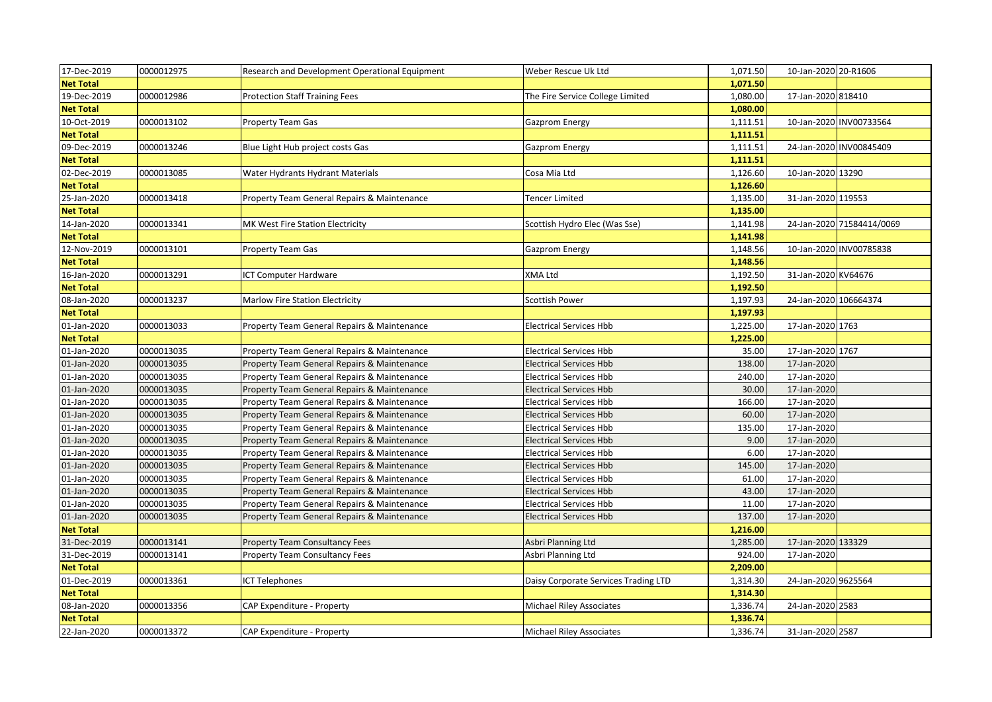| 17-Dec-2019      | 0000012975 | Research and Development Operational Equipment | Weber Rescue Uk Ltd                  | 1,071.50 | 10-Jan-2020 20-R1606  |                           |
|------------------|------------|------------------------------------------------|--------------------------------------|----------|-----------------------|---------------------------|
| <b>Net Total</b> |            |                                                |                                      | 1,071.50 |                       |                           |
| 19-Dec-2019      | 0000012986 | <b>Protection Staff Training Fees</b>          | The Fire Service College Limited     | 1,080.00 | 17-Jan-2020 818410    |                           |
| <b>Net Total</b> |            |                                                |                                      | 1,080.00 |                       |                           |
| 10-Oct-2019      | 0000013102 | Property Team Gas                              | Gazprom Energy                       | 1,111.51 |                       | 10-Jan-2020 INV00733564   |
| <b>Net Total</b> |            |                                                |                                      | 1,111.51 |                       |                           |
| 09-Dec-2019      | 0000013246 | Blue Light Hub project costs Gas               | Gazprom Energy                       | 1,111.51 |                       | 24-Jan-2020 INV00845409   |
| <b>Net Total</b> |            |                                                |                                      | 1,111.51 |                       |                           |
| 02-Dec-2019      | 0000013085 | Water Hydrants Hydrant Materials               | Cosa Mia Ltd                         | 1,126.60 | 10-Jan-2020 13290     |                           |
| <b>Net Total</b> |            |                                                |                                      | 1,126.60 |                       |                           |
| 25-Jan-2020      | 0000013418 | Property Team General Repairs & Maintenance    | Tencer Limited                       | 1,135.00 | 31-Jan-2020 119553    |                           |
| <b>Net Total</b> |            |                                                |                                      | 1,135.00 |                       |                           |
| 14-Jan-2020      | 0000013341 | MK West Fire Station Electricity               | Scottish Hydro Elec (Was Sse)        | 1,141.98 |                       | 24-Jan-2020 71584414/0069 |
| <b>Net Total</b> |            |                                                |                                      | 1,141.98 |                       |                           |
| 12-Nov-2019      | 0000013101 | <b>Property Team Gas</b>                       | Gazprom Energy                       | 1,148.56 |                       | 10-Jan-2020 INV00785838   |
| <b>Net Total</b> |            |                                                |                                      | 1,148.56 |                       |                           |
| 16-Jan-2020      | 0000013291 | ICT Computer Hardware                          | XMA Ltd                              | 1,192.50 | 31-Jan-2020 KV64676   |                           |
| <b>Net Total</b> |            |                                                |                                      | 1,192.50 |                       |                           |
| 08-Jan-2020      | 0000013237 | <b>Marlow Fire Station Electricity</b>         | <b>Scottish Power</b>                | 1,197.93 | 24-Jan-2020 106664374 |                           |
| <b>Net Total</b> |            |                                                |                                      | 1,197.93 |                       |                           |
| 01-Jan-2020      | 0000013033 | Property Team General Repairs & Maintenance    | <b>Electrical Services Hbb</b>       | 1,225.00 | 17-Jan-2020 1763      |                           |
| <b>Net Total</b> |            |                                                |                                      | 1,225.00 |                       |                           |
| 01-Jan-2020      | 0000013035 | Property Team General Repairs & Maintenance    | <b>Electrical Services Hbb</b>       | 35.00    | 17-Jan-2020 1767      |                           |
| 01-Jan-2020      | 0000013035 | Property Team General Repairs & Maintenance    | <b>Electrical Services Hbb</b>       | 138.00   | 17-Jan-2020           |                           |
| 01-Jan-2020      | 0000013035 | Property Team General Repairs & Maintenance    | <b>Electrical Services Hbb</b>       | 240.00   | 17-Jan-2020           |                           |
| 01-Jan-2020      | 0000013035 | Property Team General Repairs & Maintenance    | <b>Electrical Services Hbb</b>       | 30.00    | 17-Jan-2020           |                           |
| 01-Jan-2020      | 0000013035 | Property Team General Repairs & Maintenance    | <b>Electrical Services Hbb</b>       | 166.00   | 17-Jan-2020           |                           |
| 01-Jan-2020      | 0000013035 | Property Team General Repairs & Maintenance    | <b>Electrical Services Hbb</b>       | 60.00    | 17-Jan-2020           |                           |
| 01-Jan-2020      | 0000013035 | Property Team General Repairs & Maintenance    | <b>Electrical Services Hbb</b>       | 135.00   | 17-Jan-2020           |                           |
| 01-Jan-2020      | 0000013035 | Property Team General Repairs & Maintenance    | <b>Electrical Services Hbb</b>       | 9.00     | 17-Jan-2020           |                           |
| 01-Jan-2020      | 0000013035 | Property Team General Repairs & Maintenance    | <b>Electrical Services Hbb</b>       | 6.00     | 17-Jan-2020           |                           |
| 01-Jan-2020      | 0000013035 | Property Team General Repairs & Maintenance    | <b>Electrical Services Hbb</b>       | 145.00   | 17-Jan-2020           |                           |
| 01-Jan-2020      | 0000013035 | Property Team General Repairs & Maintenance    | <b>Electrical Services Hbb</b>       | 61.00    | 17-Jan-2020           |                           |
| 01-Jan-2020      | 0000013035 | Property Team General Repairs & Maintenance    | <b>Electrical Services Hbb</b>       | 43.00    | 17-Jan-2020           |                           |
| 01-Jan-2020      | 0000013035 | Property Team General Repairs & Maintenance    | <b>Electrical Services Hbb</b>       | 11.00    | 17-Jan-2020           |                           |
| 01-Jan-2020      | 0000013035 | Property Team General Repairs & Maintenance    | <b>Electrical Services Hbb</b>       | 137.00   | 17-Jan-2020           |                           |
| <b>Net Total</b> |            |                                                |                                      | 1,216.00 |                       |                           |
| 31-Dec-2019      | 0000013141 | <b>Property Team Consultancy Fees</b>          | Asbri Planning Ltd                   | 1,285.00 | 17-Jan-2020 133329    |                           |
| 31-Dec-2019      | 0000013141 | <b>Property Team Consultancy Fees</b>          | Asbri Planning Ltd                   | 924.00   | 17-Jan-2020           |                           |
| <b>Net Total</b> |            |                                                |                                      | 2,209.00 |                       |                           |
| 01-Dec-2019      | 0000013361 | <b>ICT Telephones</b>                          | Daisy Corporate Services Trading LTD | 1,314.30 | 24-Jan-2020 9625564   |                           |
| <b>Net Total</b> |            |                                                |                                      | 1,314.30 |                       |                           |
| 08-Jan-2020      | 0000013356 | CAP Expenditure - Property                     | <b>Michael Riley Associates</b>      | 1,336.74 | 24-Jan-2020 2583      |                           |
| <b>Net Total</b> |            |                                                |                                      | 1,336.74 |                       |                           |
| 22-Jan-2020      | 0000013372 | CAP Expenditure - Property                     | <b>Michael Riley Associates</b>      | 1,336.74 | 31-Jan-2020 2587      |                           |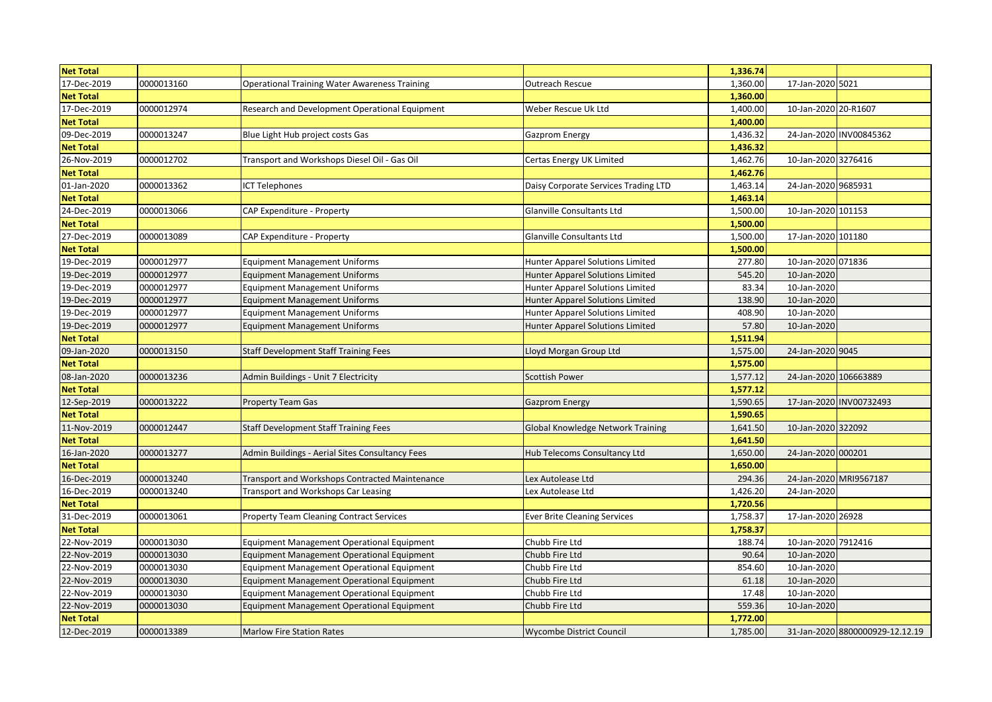| <b>Net Total</b> |            |                                                      |                                          | 1,336.74 |                       |                                 |
|------------------|------------|------------------------------------------------------|------------------------------------------|----------|-----------------------|---------------------------------|
| 17-Dec-2019      | 0000013160 | <b>Operational Training Water Awareness Training</b> | Outreach Rescue                          | 1,360.00 | 17-Jan-2020 5021      |                                 |
| <b>Net Total</b> |            |                                                      |                                          | 1,360.00 |                       |                                 |
| 17-Dec-2019      | 0000012974 | Research and Development Operational Equipment       | Weber Rescue Uk Ltd                      | 1,400.00 | 10-Jan-2020 20-R1607  |                                 |
| <b>Net Total</b> |            |                                                      |                                          | 1,400.00 |                       |                                 |
| 09-Dec-2019      | 0000013247 | Blue Light Hub project costs Gas                     | Gazprom Energy                           | 1,436.32 |                       | 24-Jan-2020 INV00845362         |
| <b>Net Total</b> |            |                                                      |                                          | 1,436.32 |                       |                                 |
| 26-Nov-2019      | 0000012702 | Transport and Workshops Diesel Oil - Gas Oil         | Certas Energy UK Limited                 | 1,462.76 | 10-Jan-2020 3276416   |                                 |
| <b>Net Total</b> |            |                                                      |                                          | 1,462.76 |                       |                                 |
| 01-Jan-2020      | 0000013362 | <b>ICT Telephones</b>                                | Daisy Corporate Services Trading LTD     | 1,463.14 | 24-Jan-2020 9685931   |                                 |
| <b>Net Total</b> |            |                                                      |                                          | 1,463.14 |                       |                                 |
| 24-Dec-2019      | 0000013066 | CAP Expenditure - Property                           | Glanville Consultants Ltd                | 1,500.00 | 10-Jan-2020 101153    |                                 |
| <b>Net Total</b> |            |                                                      |                                          | 1,500.00 |                       |                                 |
| 27-Dec-2019      | 0000013089 | CAP Expenditure - Property                           | Glanville Consultants Ltd                | 1,500.00 | 17-Jan-2020 101180    |                                 |
| <b>Net Total</b> |            |                                                      |                                          | 1,500.00 |                       |                                 |
| 19-Dec-2019      | 0000012977 | <b>Equipment Management Uniforms</b>                 | Hunter Apparel Solutions Limited         | 277.80   | 10-Jan-2020 071836    |                                 |
| 19-Dec-2019      | 0000012977 | <b>Equipment Management Uniforms</b>                 | Hunter Apparel Solutions Limited         | 545.20   | 10-Jan-2020           |                                 |
| 19-Dec-2019      | 0000012977 | <b>Equipment Management Uniforms</b>                 | Hunter Apparel Solutions Limited         | 83.34    | 10-Jan-2020           |                                 |
| 19-Dec-2019      | 0000012977 | <b>Equipment Management Uniforms</b>                 | Hunter Apparel Solutions Limited         | 138.90   | 10-Jan-2020           |                                 |
| 19-Dec-2019      | 0000012977 | <b>Equipment Management Uniforms</b>                 | Hunter Apparel Solutions Limited         | 408.90   | 10-Jan-2020           |                                 |
| 19-Dec-2019      | 0000012977 | <b>Equipment Management Uniforms</b>                 | Hunter Apparel Solutions Limited         | 57.80    | 10-Jan-2020           |                                 |
| <b>Net Total</b> |            |                                                      |                                          | 1,511.94 |                       |                                 |
| 09-Jan-2020      | 0000013150 | <b>Staff Development Staff Training Fees</b>         | Lloyd Morgan Group Ltd                   | 1,575.00 | 24-Jan-2020 9045      |                                 |
| <b>Net Total</b> |            |                                                      |                                          | 1,575.00 |                       |                                 |
| 08-Jan-2020      | 0000013236 | Admin Buildings - Unit 7 Electricity                 | <b>Scottish Power</b>                    | 1,577.12 | 24-Jan-2020 106663889 |                                 |
| <b>Net Total</b> |            |                                                      |                                          | 1,577.12 |                       |                                 |
| 12-Sep-2019      | 0000013222 | <b>Property Team Gas</b>                             | <b>Gazprom Energy</b>                    | 1,590.65 |                       | 17-Jan-2020 INV00732493         |
| <b>Net Total</b> |            |                                                      |                                          | 1,590.65 |                       |                                 |
| 11-Nov-2019      | 0000012447 | <b>Staff Development Staff Training Fees</b>         | <b>Global Knowledge Network Training</b> | 1,641.50 | 10-Jan-2020 322092    |                                 |
| <b>Net Total</b> |            |                                                      |                                          | 1,641.50 |                       |                                 |
| 16-Jan-2020      | 0000013277 | Admin Buildings - Aerial Sites Consultancy Fees      | Hub Telecoms Consultancy Ltd             | 1,650.00 | 24-Jan-2020 000201    |                                 |
| <b>Net Total</b> |            |                                                      |                                          | 1,650.00 |                       |                                 |
| 16-Dec-2019      | 0000013240 | Transport and Workshops Contracted Maintenance       | Lex Autolease Ltd                        | 294.36   |                       | 24-Jan-2020 MRI9567187          |
| 16-Dec-2019      | 0000013240 | Transport and Workshops Car Leasing                  | Lex Autolease Ltd                        | 1,426.20 | 24-Jan-2020           |                                 |
| <b>Net Total</b> |            |                                                      |                                          | 1,720.56 |                       |                                 |
| 31-Dec-2019      | 0000013061 | <b>Property Team Cleaning Contract Services</b>      | <b>Ever Brite Cleaning Services</b>      | 1,758.37 | 17-Jan-2020 26928     |                                 |
| <b>Net Total</b> |            |                                                      |                                          | 1,758.37 |                       |                                 |
| 22-Nov-2019      | 0000013030 | Equipment Management Operational Equipment           | Chubb Fire Ltd                           | 188.74   | 10-Jan-2020 7912416   |                                 |
| 22-Nov-2019      | 0000013030 | Equipment Management Operational Equipment           | Chubb Fire Ltd                           | 90.64    | 10-Jan-2020           |                                 |
| 22-Nov-2019      | 0000013030 | Equipment Management Operational Equipment           | Chubb Fire Ltd                           | 854.60   | 10-Jan-2020           |                                 |
| 22-Nov-2019      | 0000013030 | <b>Equipment Management Operational Equipment</b>    | Chubb Fire Ltd                           | 61.18    | 10-Jan-2020           |                                 |
| 22-Nov-2019      | 0000013030 | Equipment Management Operational Equipment           | Chubb Fire Ltd                           | 17.48    | 10-Jan-2020           |                                 |
| 22-Nov-2019      | 0000013030 | <b>Equipment Management Operational Equipment</b>    | Chubb Fire Ltd                           | 559.36   | 10-Jan-2020           |                                 |
| <b>Net Total</b> |            |                                                      |                                          | 1,772.00 |                       |                                 |
| 12-Dec-2019      | 0000013389 | <b>Marlow Fire Station Rates</b>                     | <b>Wycombe District Council</b>          | 1,785.00 |                       | 31-Jan-2020 8800000929-12.12.19 |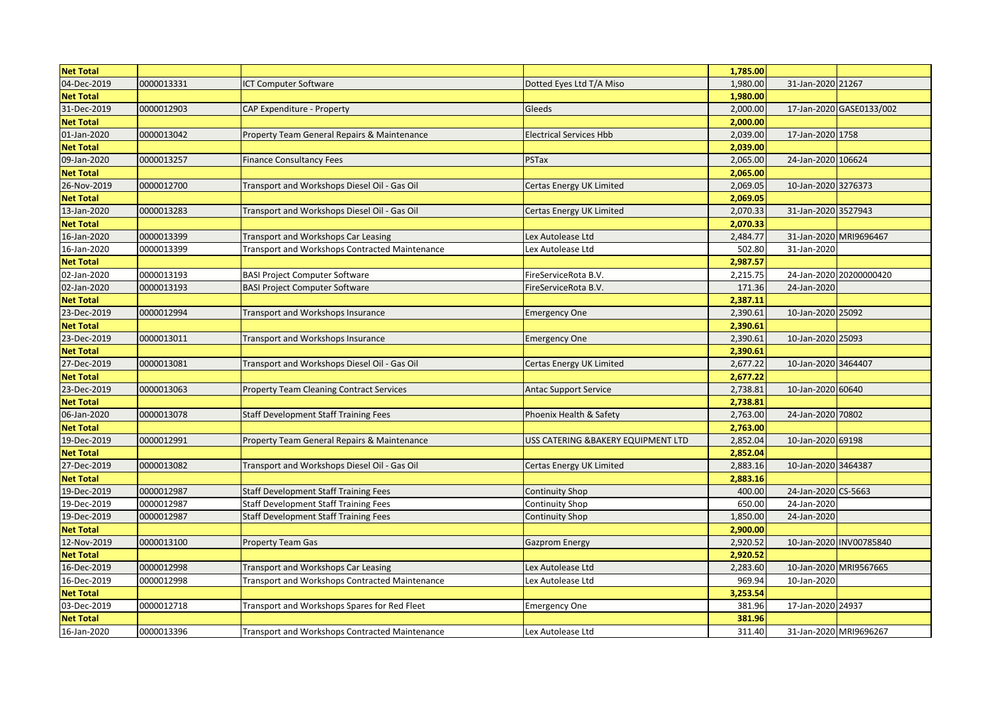| <b>Net Total</b> |            |                                                       |                                    | 1,785.00 |                     |                          |
|------------------|------------|-------------------------------------------------------|------------------------------------|----------|---------------------|--------------------------|
| 04-Dec-2019      | 0000013331 | <b>ICT Computer Software</b>                          | Dotted Eyes Ltd T/A Miso           | 1,980.00 | 31-Jan-2020 21267   |                          |
| <b>Net Total</b> |            |                                                       |                                    | 1,980.00 |                     |                          |
| 31-Dec-2019      | 0000012903 | CAP Expenditure - Property                            | Gleeds                             | 2,000.00 |                     | 17-Jan-2020 GASE0133/002 |
| <b>Net Total</b> |            |                                                       |                                    | 2,000.00 |                     |                          |
| 01-Jan-2020      | 0000013042 | Property Team General Repairs & Maintenance           | <b>Electrical Services Hbb</b>     | 2,039.00 | 17-Jan-2020 1758    |                          |
| <b>Net Total</b> |            |                                                       |                                    | 2,039.00 |                     |                          |
| 09-Jan-2020      | 0000013257 | <b>Finance Consultancy Fees</b>                       | PSTax                              | 2,065.00 | 24-Jan-2020 106624  |                          |
| <b>Net Total</b> |            |                                                       |                                    | 2,065.00 |                     |                          |
| 26-Nov-2019      | 0000012700 | Transport and Workshops Diesel Oil - Gas Oil          | Certas Energy UK Limited           | 2,069.05 | 10-Jan-2020 3276373 |                          |
| <b>Net Total</b> |            |                                                       |                                    | 2,069.05 |                     |                          |
| 13-Jan-2020      | 0000013283 | Transport and Workshops Diesel Oil - Gas Oil          | <b>Certas Energy UK Limited</b>    | 2,070.33 | 31-Jan-2020 3527943 |                          |
| <b>Net Total</b> |            |                                                       |                                    | 2,070.33 |                     |                          |
| 16-Jan-2020      | 0000013399 | <b>Transport and Workshops Car Leasing</b>            | Lex Autolease Ltd                  | 2,484.77 |                     | 31-Jan-2020 MRI9696467   |
| 16-Jan-2020      | 0000013399 | Transport and Workshops Contracted Maintenance        | Lex Autolease Ltd                  | 502.80   | 31-Jan-2020         |                          |
| <b>Net Total</b> |            |                                                       |                                    | 2,987.57 |                     |                          |
| 02-Jan-2020      | 0000013193 | <b>BASI Project Computer Software</b>                 | FireServiceRota B.V.               | 2,215.75 |                     | 24-Jan-2020 20200000420  |
| 02-Jan-2020      | 0000013193 | <b>BASI Project Computer Software</b>                 | FireServiceRota B.V.               | 171.36   | 24-Jan-2020         |                          |
| <b>Net Total</b> |            |                                                       |                                    | 2,387.11 |                     |                          |
| 23-Dec-2019      | 0000012994 | Transport and Workshops Insurance                     | <b>Emergency One</b>               | 2,390.61 | 10-Jan-2020 25092   |                          |
| <b>Net Total</b> |            |                                                       |                                    | 2,390.61 |                     |                          |
| 23-Dec-2019      | 0000013011 | Transport and Workshops Insurance                     | <b>Emergency One</b>               | 2,390.61 | 10-Jan-2020 25093   |                          |
| <b>Net Total</b> |            |                                                       |                                    | 2,390.61 |                     |                          |
| 27-Dec-2019      | 0000013081 | Transport and Workshops Diesel Oil - Gas Oil          | Certas Energy UK Limited           | 2,677.22 | 10-Jan-2020 3464407 |                          |
| <b>Net Total</b> |            |                                                       |                                    | 2,677.22 |                     |                          |
| 23-Dec-2019      | 0000013063 | <b>Property Team Cleaning Contract Services</b>       | <b>Antac Support Service</b>       | 2,738.81 | 10-Jan-2020 60640   |                          |
| <b>Net Total</b> |            |                                                       |                                    | 2,738.81 |                     |                          |
| 06-Jan-2020      | 0000013078 | <b>Staff Development Staff Training Fees</b>          | Phoenix Health & Safety            | 2,763.00 | 24-Jan-2020 70802   |                          |
| <b>Net Total</b> |            |                                                       |                                    | 2,763.00 |                     |                          |
| 19-Dec-2019      | 0000012991 | Property Team General Repairs & Maintenance           | USS CATERING &BAKERY EQUIPMENT LTD | 2,852.04 | 10-Jan-2020 69198   |                          |
| <b>Net Total</b> |            |                                                       |                                    | 2,852.04 |                     |                          |
| 27-Dec-2019      | 0000013082 | Transport and Workshops Diesel Oil - Gas Oil          | Certas Energy UK Limited           | 2,883.16 | 10-Jan-2020 3464387 |                          |
| <b>Net Total</b> |            |                                                       |                                    | 2,883.16 |                     |                          |
| 19-Dec-2019      | 0000012987 | <b>Staff Development Staff Training Fees</b>          | <b>Continuity Shop</b>             | 400.00   | 24-Jan-2020 CS-5663 |                          |
| 19-Dec-2019      | 0000012987 | Staff Development Staff Training Fees                 | Continuity Shop                    | 650.00   | 24-Jan-2020         |                          |
| 19-Dec-2019      | 0000012987 | <b>Staff Development Staff Training Fees</b>          | <b>Continuity Shop</b>             | 1,850.00 | 24-Jan-2020         |                          |
| <b>Net Total</b> |            |                                                       |                                    | 2,900.00 |                     |                          |
| 12-Nov-2019      | 0000013100 | <b>Property Team Gas</b>                              | <b>Gazprom Energy</b>              | 2,920.52 |                     | 10-Jan-2020 INV00785840  |
| <b>Net Total</b> |            |                                                       |                                    | 2,920.52 |                     |                          |
| 16-Dec-2019      | 0000012998 | Transport and Workshops Car Leasing                   | Lex Autolease Ltd                  | 2,283.60 |                     | 10-Jan-2020 MRI9567665   |
| 16-Dec-2019      | 0000012998 | Transport and Workshops Contracted Maintenance        | Lex Autolease Ltd                  | 969.94   | 10-Jan-2020         |                          |
| <b>Net Total</b> |            |                                                       |                                    | 3,253.54 |                     |                          |
| 03-Dec-2019      | 0000012718 | Transport and Workshops Spares for Red Fleet          | <b>Emergency One</b>               | 381.96   | 17-Jan-2020 24937   |                          |
| <b>Net Total</b> |            |                                                       |                                    | 381.96   |                     |                          |
| 16-Jan-2020      | 0000013396 | <b>Transport and Workshops Contracted Maintenance</b> | Lex Autolease Ltd                  | 311.40   |                     | 31-Jan-2020 MRI9696267   |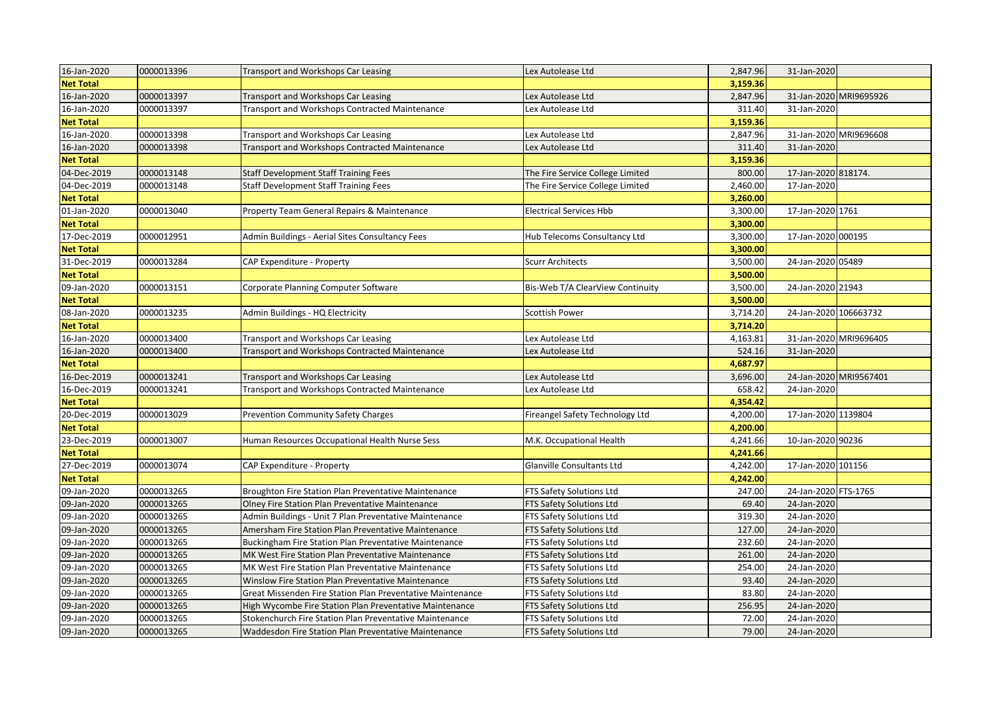| 16-Jan-2020      | 0000013396 | Transport and Workshops Car Leasing                        | Lex Autolease Ltd                | 2,847.96 | 31-Jan-2020           |                        |
|------------------|------------|------------------------------------------------------------|----------------------------------|----------|-----------------------|------------------------|
| <b>Net Total</b> |            |                                                            |                                  | 3,159.36 |                       |                        |
| 16-Jan-2020      | 0000013397 | Transport and Workshops Car Leasing                        | Lex Autolease Ltd                | 2,847.96 |                       | 31-Jan-2020 MRI9695926 |
| 16-Jan-2020      | 0000013397 | Transport and Workshops Contracted Maintenance             | Lex Autolease Ltd                | 311.40   | 31-Jan-2020           |                        |
| <b>Net Total</b> |            |                                                            |                                  | 3,159.36 |                       |                        |
| 16-Jan-2020      | 0000013398 | Transport and Workshops Car Leasing                        | Lex Autolease Ltd                | 2,847.96 |                       | 31-Jan-2020 MRI9696608 |
| 16-Jan-2020      | 0000013398 | Transport and Workshops Contracted Maintenance             | Lex Autolease Ltd                | 311.40   | 31-Jan-2020           |                        |
| <b>Net Total</b> |            |                                                            |                                  | 3,159.36 |                       |                        |
| 04-Dec-2019      | 0000013148 | <b>Staff Development Staff Training Fees</b>               | The Fire Service College Limited | 800.00   | 17-Jan-2020 818174.   |                        |
| 04-Dec-2019      | 0000013148 | <b>Staff Development Staff Training Fees</b>               | The Fire Service College Limited | 2,460.00 | 17-Jan-2020           |                        |
| <b>Net Total</b> |            |                                                            |                                  | 3,260.00 |                       |                        |
| 01-Jan-2020      | 0000013040 | Property Team General Repairs & Maintenance                | <b>Electrical Services Hbb</b>   | 3,300.00 | 17-Jan-2020 1761      |                        |
| <b>Net Total</b> |            |                                                            |                                  | 3,300.00 |                       |                        |
| 17-Dec-2019      | 0000012951 | Admin Buildings - Aerial Sites Consultancy Fees            | Hub Telecoms Consultancy Ltd     | 3,300.00 | 17-Jan-2020 000195    |                        |
| <b>Net Total</b> |            |                                                            |                                  | 3,300.00 |                       |                        |
| 31-Dec-2019      | 0000013284 | CAP Expenditure - Property                                 | <b>Scurr Architects</b>          | 3,500.00 | 24-Jan-2020 05489     |                        |
| <b>Net Total</b> |            |                                                            |                                  | 3,500.00 |                       |                        |
| 09-Jan-2020      | 0000013151 | Corporate Planning Computer Software                       | Bis-Web T/A ClearView Continuity | 3,500.00 | 24-Jan-2020 21943     |                        |
| <b>Net Total</b> |            |                                                            |                                  | 3,500.00 |                       |                        |
| 08-Jan-2020      | 0000013235 | Admin Buildings - HQ Electricity                           | Scottish Power                   | 3,714.20 | 24-Jan-2020 106663732 |                        |
| <b>Net Total</b> |            |                                                            |                                  | 3,714.20 |                       |                        |
| 16-Jan-2020      | 0000013400 | Transport and Workshops Car Leasing                        | Lex Autolease Ltd                | 4,163.81 |                       | 31-Jan-2020 MRI9696405 |
| 16-Jan-2020      | 0000013400 | Transport and Workshops Contracted Maintenance             | Lex Autolease Ltd                | 524.16   | 31-Jan-2020           |                        |
| <b>Net Total</b> |            |                                                            |                                  | 4,687.97 |                       |                        |
| 16-Dec-2019      | 0000013241 | Transport and Workshops Car Leasing                        | Lex Autolease Ltd                | 3,696.00 |                       | 24-Jan-2020 MRI9567401 |
| 16-Dec-2019      | 0000013241 | Transport and Workshops Contracted Maintenance             | Lex Autolease Ltd                | 658.42   | 24-Jan-2020           |                        |
| <b>Net Total</b> |            |                                                            |                                  | 4,354.42 |                       |                        |
| 20-Dec-2019      | 0000013029 | Prevention Community Safety Charges                        | Fireangel Safety Technology Ltd  | 4,200.00 | 17-Jan-2020 1139804   |                        |
| <b>Net Total</b> |            |                                                            |                                  | 4,200.00 |                       |                        |
| 23-Dec-2019      | 0000013007 | Human Resources Occupational Health Nurse Sess             | M.K. Occupational Health         | 4,241.66 | 10-Jan-2020 90236     |                        |
| <b>Net Total</b> |            |                                                            |                                  | 4,241.66 |                       |                        |
| 27-Dec-2019      | 0000013074 | CAP Expenditure - Property                                 | Glanville Consultants Ltd        | 4,242.00 | 17-Jan-2020 101156    |                        |
| <b>Net Total</b> |            |                                                            |                                  | 4,242.00 |                       |                        |
| 09-Jan-2020      | 0000013265 | Broughton Fire Station Plan Preventative Maintenance       | FTS Safety Solutions Ltd         | 247.00   | 24-Jan-2020 FTS-1765  |                        |
| 09-Jan-2020      | 0000013265 | Olney Fire Station Plan Preventative Maintenance           | FTS Safety Solutions Ltd         | 69.40    | 24-Jan-2020           |                        |
| 09-Jan-2020      | 0000013265 | Admin Buildings - Unit 7 Plan Preventative Maintenance     | FTS Safety Solutions Ltd         | 319.30   | 24-Jan-2020           |                        |
| 09-Jan-2020      | 0000013265 | Amersham Fire Station Plan Preventative Maintenance        | FTS Safety Solutions Ltd         | 127.00   | 24-Jan-2020           |                        |
| 09-Jan-2020      | 0000013265 | Buckingham Fire Station Plan Preventative Maintenance      | FTS Safety Solutions Ltd         | 232.60   | 24-Jan-2020           |                        |
| 09-Jan-2020      | 0000013265 | MK West Fire Station Plan Preventative Maintenance         | FTS Safety Solutions Ltd         | 261.00   | 24-Jan-2020           |                        |
| 09-Jan-2020      | 0000013265 | MK West Fire Station Plan Preventative Maintenance         | FTS Safety Solutions Ltd         | 254.00   | 24-Jan-2020           |                        |
| 09-Jan-2020      | 0000013265 | Winslow Fire Station Plan Preventative Maintenance         | FTS Safety Solutions Ltd         | 93.40    | 24-Jan-2020           |                        |
| 09-Jan-2020      | 0000013265 | Great Missenden Fire Station Plan Preventative Maintenance | FTS Safety Solutions Ltd         | 83.80    | 24-Jan-2020           |                        |
| 09-Jan-2020      | 0000013265 | High Wycombe Fire Station Plan Preventative Maintenance    | FTS Safety Solutions Ltd         | 256.95   | 24-Jan-2020           |                        |
| 09-Jan-2020      | 0000013265 | Stokenchurch Fire Station Plan Preventative Maintenance    | FTS Safety Solutions Ltd         | 72.00    | 24-Jan-2020           |                        |
| 09-Jan-2020      | 0000013265 | Waddesdon Fire Station Plan Preventative Maintenance       | FTS Safety Solutions Ltd         | 79.00    | 24-Jan-2020           |                        |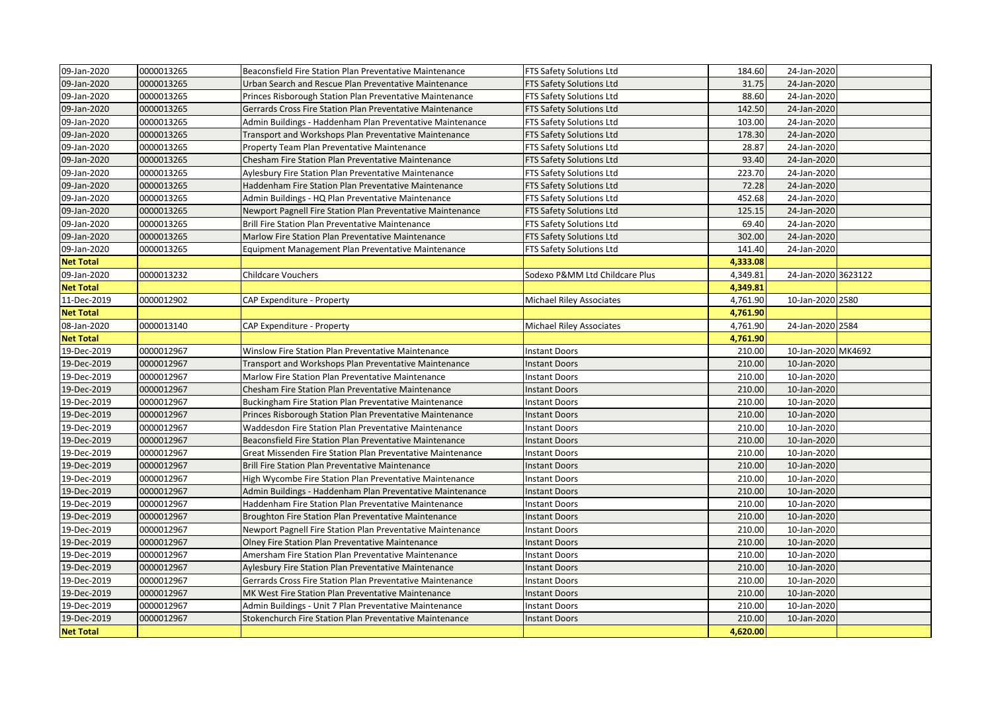| 09-Jan-2020      | 0000013265 | Beaconsfield Fire Station Plan Preventative Maintenance    | FTS Safety Solutions Ltd        | 184.60   | 24-Jan-2020         |  |
|------------------|------------|------------------------------------------------------------|---------------------------------|----------|---------------------|--|
| 09-Jan-2020      | 0000013265 | Urban Search and Rescue Plan Preventative Maintenance      | FTS Safety Solutions Ltd        | 31.75    | 24-Jan-2020         |  |
| 09-Jan-2020      | 0000013265 | Princes Risborough Station Plan Preventative Maintenance   | FTS Safety Solutions Ltd        | 88.60    | 24-Jan-2020         |  |
| 09-Jan-2020      | 0000013265 | Gerrards Cross Fire Station Plan Preventative Maintenance  | FTS Safety Solutions Ltd        | 142.50   | 24-Jan-2020         |  |
| 09-Jan-2020      | 0000013265 | Admin Buildings - Haddenham Plan Preventative Maintenance  | FTS Safety Solutions Ltd        | 103.00   | 24-Jan-2020         |  |
| 09-Jan-2020      | 0000013265 | Transport and Workshops Plan Preventative Maintenance      | FTS Safety Solutions Ltd        | 178.30   | 24-Jan-2020         |  |
| 09-Jan-2020      | 0000013265 | Property Team Plan Preventative Maintenance                | FTS Safety Solutions Ltd        | 28.87    | 24-Jan-2020         |  |
| 09-Jan-2020      | 0000013265 | Chesham Fire Station Plan Preventative Maintenance         | FTS Safety Solutions Ltd        | 93.40    | 24-Jan-2020         |  |
| 09-Jan-2020      | 0000013265 | Aylesbury Fire Station Plan Preventative Maintenance       | FTS Safety Solutions Ltd        | 223.70   | 24-Jan-2020         |  |
| 09-Jan-2020      | 0000013265 | Haddenham Fire Station Plan Preventative Maintenance       | FTS Safety Solutions Ltd        | 72.28    | 24-Jan-2020         |  |
| 09-Jan-2020      | 0000013265 | Admin Buildings - HQ Plan Preventative Maintenance         | FTS Safety Solutions Ltd        | 452.68   | 24-Jan-2020         |  |
| 09-Jan-2020      | 0000013265 | Newport Pagnell Fire Station Plan Preventative Maintenance | FTS Safety Solutions Ltd        | 125.15   | 24-Jan-2020         |  |
| 09-Jan-2020      | 0000013265 | Brill Fire Station Plan Preventative Maintenance           | FTS Safety Solutions Ltd        | 69.40    | 24-Jan-2020         |  |
| 09-Jan-2020      | 0000013265 | Marlow Fire Station Plan Preventative Maintenance          | FTS Safety Solutions Ltd        | 302.00   | 24-Jan-2020         |  |
| 09-Jan-2020      | 0000013265 | Equipment Management Plan Preventative Maintenance         | FTS Safety Solutions Ltd        | 141.40   | 24-Jan-2020         |  |
| <b>Net Total</b> |            |                                                            |                                 | 4,333.08 |                     |  |
| 09-Jan-2020      | 0000013232 | <b>Childcare Vouchers</b>                                  | Sodexo P&MM Ltd Childcare Plus  | 4,349.81 | 24-Jan-2020 3623122 |  |
| <b>Net Total</b> |            |                                                            |                                 | 4,349.81 |                     |  |
| 11-Dec-2019      | 0000012902 | CAP Expenditure - Property                                 | <b>Michael Riley Associates</b> | 4,761.90 | 10-Jan-2020 2580    |  |
| <b>Net Total</b> |            |                                                            |                                 | 4,761.90 |                     |  |
| 08-Jan-2020      | 0000013140 | CAP Expenditure - Property                                 | <b>Michael Riley Associates</b> | 4,761.90 | 24-Jan-2020 2584    |  |
| <b>Net Total</b> |            |                                                            |                                 | 4,761.90 |                     |  |
| 19-Dec-2019      | 0000012967 | Winslow Fire Station Plan Preventative Maintenance         | <b>Instant Doors</b>            | 210.00   | 10-Jan-2020 MK4692  |  |
| 19-Dec-2019      | 0000012967 | Transport and Workshops Plan Preventative Maintenance      | <b>Instant Doors</b>            | 210.00   | 10-Jan-2020         |  |
| 19-Dec-2019      | 0000012967 | Marlow Fire Station Plan Preventative Maintenance          | <b>Instant Doors</b>            | 210.00   | 10-Jan-2020         |  |
| 19-Dec-2019      | 0000012967 | Chesham Fire Station Plan Preventative Maintenance         | <b>Instant Doors</b>            | 210.00   | 10-Jan-2020         |  |
| 19-Dec-2019      | 0000012967 | Buckingham Fire Station Plan Preventative Maintenance      | <b>Instant Doors</b>            | 210.00   | 10-Jan-2020         |  |
| 19-Dec-2019      | 0000012967 | Princes Risborough Station Plan Preventative Maintenance   | <b>Instant Doors</b>            | 210.00   | 10-Jan-2020         |  |
| 19-Dec-2019      | 0000012967 | Waddesdon Fire Station Plan Preventative Maintenance       | <b>Instant Doors</b>            | 210.00   | 10-Jan-2020         |  |
| 19-Dec-2019      | 0000012967 | Beaconsfield Fire Station Plan Preventative Maintenance    | <b>Instant Doors</b>            | 210.00   | 10-Jan-2020         |  |
| 19-Dec-2019      | 0000012967 | Great Missenden Fire Station Plan Preventative Maintenance | <b>Instant Doors</b>            | 210.00   | 10-Jan-2020         |  |
| 19-Dec-2019      | 0000012967 | Brill Fire Station Plan Preventative Maintenance           | <b>Instant Doors</b>            | 210.00   | 10-Jan-2020         |  |
| 19-Dec-2019      | 0000012967 | High Wycombe Fire Station Plan Preventative Maintenance    | Instant Doors                   | 210.00   | 10-Jan-2020         |  |
| 19-Dec-2019      | 0000012967 | Admin Buildings - Haddenham Plan Preventative Maintenance  | <b>Instant Doors</b>            | 210.00   | 10-Jan-2020         |  |
| 19-Dec-2019      | 0000012967 | Haddenham Fire Station Plan Preventative Maintenance       | <b>Instant Doors</b>            | 210.00   | 10-Jan-2020         |  |
| 19-Dec-2019      | 0000012967 | Broughton Fire Station Plan Preventative Maintenance       | <b>Instant Doors</b>            | 210.00   | 10-Jan-2020         |  |
| 19-Dec-2019      | 0000012967 | Newport Pagnell Fire Station Plan Preventative Maintenance | <b>Instant Doors</b>            | 210.00   | 10-Jan-2020         |  |
| 19-Dec-2019      | 0000012967 | Olney Fire Station Plan Preventative Maintenance           | <b>Instant Doors</b>            | 210.00   | 10-Jan-2020         |  |
| 19-Dec-2019      | 0000012967 | Amersham Fire Station Plan Preventative Maintenance        | <b>Instant Doors</b>            | 210.00   | 10-Jan-2020         |  |
| 19-Dec-2019      | 0000012967 | Aylesbury Fire Station Plan Preventative Maintenance       | <b>Instant Doors</b>            | 210.00   | 10-Jan-2020         |  |
| 19-Dec-2019      | 0000012967 | Gerrards Cross Fire Station Plan Preventative Maintenance  | <b>Instant Doors</b>            | 210.00   | 10-Jan-2020         |  |
| 19-Dec-2019      | 0000012967 | MK West Fire Station Plan Preventative Maintenance         | <b>Instant Doors</b>            | 210.00   | 10-Jan-2020         |  |
| 19-Dec-2019      | 0000012967 | Admin Buildings - Unit 7 Plan Preventative Maintenance     | <b>Instant Doors</b>            | 210.00   | 10-Jan-2020         |  |
| 19-Dec-2019      | 0000012967 | Stokenchurch Fire Station Plan Preventative Maintenance    | <b>Instant Doors</b>            | 210.00   | 10-Jan-2020         |  |
| <b>Net Total</b> |            |                                                            |                                 | 4,620.00 |                     |  |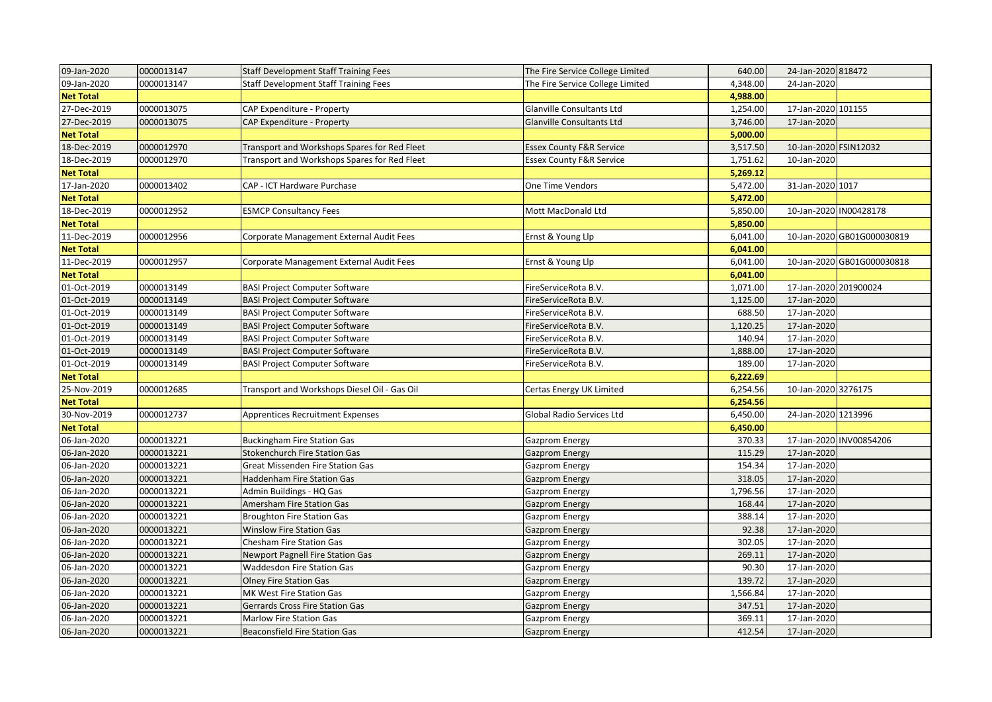| 09-Jan-2020      | 0000013147 | <b>Staff Development Staff Training Fees</b> | The Fire Service College Limited    | 640.00   | 24-Jan-2020 818472    |                            |
|------------------|------------|----------------------------------------------|-------------------------------------|----------|-----------------------|----------------------------|
| 09-Jan-2020      | 0000013147 | <b>Staff Development Staff Training Fees</b> | The Fire Service College Limited    | 4,348.00 | 24-Jan-2020           |                            |
| <b>Net Total</b> |            |                                              |                                     | 4,988.00 |                       |                            |
| 27-Dec-2019      | 0000013075 | CAP Expenditure - Property                   | Glanville Consultants Ltd           | 1,254.00 | 17-Jan-2020 101155    |                            |
| 27-Dec-2019      | 0000013075 | CAP Expenditure - Property                   | Glanville Consultants Ltd           | 3,746.00 | 17-Jan-2020           |                            |
| <b>Net Total</b> |            |                                              |                                     | 5,000.00 |                       |                            |
| 18-Dec-2019      | 0000012970 | Transport and Workshops Spares for Red Fleet | <b>Essex County F&amp;R Service</b> | 3,517.50 | 10-Jan-2020 FSIN12032 |                            |
| 18-Dec-2019      | 0000012970 | Transport and Workshops Spares for Red Fleet | <b>Essex County F&amp;R Service</b> | 1,751.62 | 10-Jan-2020           |                            |
| <b>Net Total</b> |            |                                              |                                     | 5,269.12 |                       |                            |
| 17-Jan-2020      | 0000013402 | CAP - ICT Hardware Purchase                  | One Time Vendors                    | 5,472.00 | 31-Jan-2020 1017      |                            |
| <b>Net Total</b> |            |                                              |                                     | 5,472.00 |                       |                            |
| 18-Dec-2019      | 0000012952 | <b>ESMCP Consultancy Fees</b>                | Mott MacDonald Ltd                  | 5,850.00 |                       | 10-Jan-2020 IN00428178     |
| <b>Net Total</b> |            |                                              |                                     | 5,850.00 |                       |                            |
| 11-Dec-2019      | 0000012956 | Corporate Management External Audit Fees     | Ernst & Young Llp                   | 6,041.00 |                       | 10-Jan-2020 GB01G000030819 |
| <b>Net Total</b> |            |                                              |                                     | 6,041.00 |                       |                            |
| 11-Dec-2019      | 0000012957 | Corporate Management External Audit Fees     | Ernst & Young Llp                   | 6,041.00 |                       | 10-Jan-2020 GB01G000030818 |
| <b>Net Total</b> |            |                                              |                                     | 6,041.00 |                       |                            |
| 01-Oct-2019      | 0000013149 | <b>BASI Project Computer Software</b>        | FireServiceRota B.V.                | 1,071.00 | 17-Jan-2020 201900024 |                            |
| 01-Oct-2019      | 0000013149 | <b>BASI Project Computer Software</b>        | FireServiceRota B.V.                | 1,125.00 | 17-Jan-2020           |                            |
| 01-Oct-2019      | 0000013149 | <b>BASI Project Computer Software</b>        | FireServiceRota B.V.                | 688.50   | 17-Jan-2020           |                            |
| 01-Oct-2019      | 0000013149 | <b>BASI Project Computer Software</b>        | FireServiceRota B.V.                | 1,120.25 | 17-Jan-2020           |                            |
| 01-Oct-2019      | 0000013149 | <b>BASI Project Computer Software</b>        | FireServiceRota B.V.                | 140.94   | 17-Jan-2020           |                            |
| 01-Oct-2019      | 0000013149 | <b>BASI Project Computer Software</b>        | FireServiceRota B.V.                | 1,888.00 | 17-Jan-2020           |                            |
| 01-Oct-2019      | 0000013149 | <b>BASI Project Computer Software</b>        | FireServiceRota B.V.                | 189.00   | 17-Jan-2020           |                            |
| <b>Net Total</b> |            |                                              |                                     | 6,222.69 |                       |                            |
| 25-Nov-2019      | 0000012685 | Transport and Workshops Diesel Oil - Gas Oil | Certas Energy UK Limited            | 6,254.56 | 10-Jan-2020 3276175   |                            |
| <b>Net Total</b> |            |                                              |                                     | 6,254.56 |                       |                            |
| 30-Nov-2019      | 0000012737 | Apprentices Recruitment Expenses             | Global Radio Services Ltd           | 6,450.00 | 24-Jan-2020 1213996   |                            |
| <b>Net Total</b> |            |                                              |                                     | 6,450.00 |                       |                            |
| 06-Jan-2020      | 0000013221 | <b>Buckingham Fire Station Gas</b>           | Gazprom Energy                      | 370.33   |                       | 17-Jan-2020 INV00854206    |
| 06-Jan-2020      | 0000013221 | <b>Stokenchurch Fire Station Gas</b>         | <b>Gazprom Energy</b>               | 115.29   | 17-Jan-2020           |                            |
| 06-Jan-2020      | 0000013221 | Great Missenden Fire Station Gas             | Gazprom Energy                      | 154.34   | 17-Jan-2020           |                            |
| 06-Jan-2020      | 0000013221 | <b>Haddenham Fire Station Gas</b>            | <b>Gazprom Energy</b>               | 318.05   | 17-Jan-2020           |                            |
| 06-Jan-2020      | 0000013221 | Admin Buildings - HQ Gas                     | Gazprom Energy                      | 1,796.56 | 17-Jan-2020           |                            |
| 06-Jan-2020      | 0000013221 | Amersham Fire Station Gas                    | <b>Gazprom Energy</b>               | 168.44   | 17-Jan-2020           |                            |
| 06-Jan-2020      | 0000013221 | <b>Broughton Fire Station Gas</b>            | Gazprom Energy                      | 388.14   | 17-Jan-2020           |                            |
| 06-Jan-2020      | 0000013221 | <b>Winslow Fire Station Gas</b>              | <b>Gazprom Energy</b>               | 92.38    | 17-Jan-2020           |                            |
| 06-Jan-2020      | 0000013221 | Chesham Fire Station Gas                     | Gazprom Energy                      | 302.05   | 17-Jan-2020           |                            |
| 06-Jan-2020      | 0000013221 | <b>Newport Pagnell Fire Station Gas</b>      | <b>Gazprom Energy</b>               | 269.11   | 17-Jan-2020           |                            |
| 06-Jan-2020      | 0000013221 | <b>Waddesdon Fire Station Gas</b>            | Gazprom Energy                      | 90.30    | 17-Jan-2020           |                            |
| 06-Jan-2020      | 0000013221 | Olney Fire Station Gas                       | <b>Gazprom Energy</b>               | 139.72   | 17-Jan-2020           |                            |
| 06-Jan-2020      | 0000013221 | MK West Fire Station Gas                     | Gazprom Energy                      | 1,566.84 | 17-Jan-2020           |                            |
| 06-Jan-2020      | 0000013221 | Gerrards Cross Fire Station Gas              | <b>Gazprom Energy</b>               | 347.51   | 17-Jan-2020           |                            |
| 06-Jan-2020      | 0000013221 | Marlow Fire Station Gas                      | Gazprom Energy                      | 369.11   | 17-Jan-2020           |                            |
| 06-Jan-2020      | 0000013221 | <b>Beaconsfield Fire Station Gas</b>         | <b>Gazprom Energy</b>               | 412.54   | 17-Jan-2020           |                            |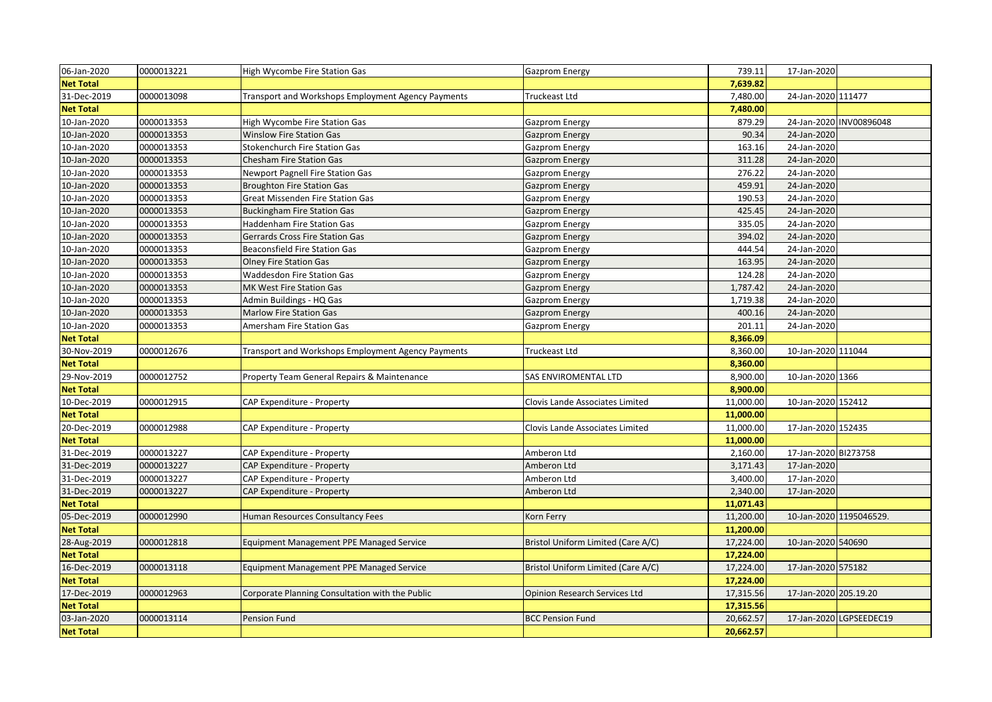| 06-Jan-2020      | 0000013221 | High Wycombe Fire Station Gas                      | Gazprom Energy                       | 739.11    | 17-Jan-2020           |                         |
|------------------|------------|----------------------------------------------------|--------------------------------------|-----------|-----------------------|-------------------------|
| <b>Net Total</b> |            |                                                    |                                      | 7,639.82  |                       |                         |
| 31-Dec-2019      | 0000013098 | Transport and Workshops Employment Agency Payments | Truckeast Ltd                        | 7,480.00  | 24-Jan-2020 111477    |                         |
| <b>Net Total</b> |            |                                                    |                                      | 7,480.00  |                       |                         |
| 10-Jan-2020      | 0000013353 | High Wycombe Fire Station Gas                      | Gazprom Energy                       | 879.29    |                       | 24-Jan-2020 INV00896048 |
| 10-Jan-2020      | 0000013353 | <b>Winslow Fire Station Gas</b>                    | Gazprom Energy                       | 90.34     | 24-Jan-2020           |                         |
| 10-Jan-2020      | 0000013353 | <b>Stokenchurch Fire Station Gas</b>               | Gazprom Energy                       | 163.16    | 24-Jan-2020           |                         |
| 10-Jan-2020      | 0000013353 | <b>Chesham Fire Station Gas</b>                    | <b>Gazprom Energy</b>                | 311.28    | 24-Jan-2020           |                         |
| 10-Jan-2020      | 0000013353 | Newport Pagnell Fire Station Gas                   | Gazprom Energy                       | 276.22    | 24-Jan-2020           |                         |
| 10-Jan-2020      | 0000013353 | <b>Broughton Fire Station Gas</b>                  | <b>Gazprom Energy</b>                | 459.91    | 24-Jan-2020           |                         |
| 10-Jan-2020      | 0000013353 | Great Missenden Fire Station Gas                   | Gazprom Energy                       | 190.53    | 24-Jan-2020           |                         |
| 10-Jan-2020      | 0000013353 | <b>Buckingham Fire Station Gas</b>                 | <b>Gazprom Energy</b>                | 425.45    | 24-Jan-2020           |                         |
| 10-Jan-2020      | 0000013353 | <b>Haddenham Fire Station Gas</b>                  | Gazprom Energy                       | 335.05    | 24-Jan-2020           |                         |
| 10-Jan-2020      | 0000013353 | Gerrards Cross Fire Station Gas                    | <b>Gazprom Energy</b>                | 394.02    | 24-Jan-2020           |                         |
| 10-Jan-2020      | 0000013353 | <b>Beaconsfield Fire Station Gas</b>               | <b>Gazprom Energy</b>                | 444.54    | 24-Jan-2020           |                         |
| 10-Jan-2020      | 0000013353 | <b>Olney Fire Station Gas</b>                      | <b>Gazprom Energy</b>                | 163.95    | 24-Jan-2020           |                         |
| 10-Jan-2020      | 0000013353 | <b>Waddesdon Fire Station Gas</b>                  | Gazprom Energy                       | 124.28    | 24-Jan-2020           |                         |
| 10-Jan-2020      | 0000013353 | MK West Fire Station Gas                           | <b>Gazprom Energy</b>                | 1,787.42  | 24-Jan-2020           |                         |
| 10-Jan-2020      | 0000013353 | Admin Buildings - HQ Gas                           | <b>Gazprom Energy</b>                | 1,719.38  | 24-Jan-2020           |                         |
| 10-Jan-2020      | 0000013353 | <b>Marlow Fire Station Gas</b>                     | <b>Gazprom Energy</b>                | 400.16    | 24-Jan-2020           |                         |
| 10-Jan-2020      | 0000013353 | Amersham Fire Station Gas                          | <b>Gazprom Energy</b>                | 201.11    | 24-Jan-2020           |                         |
| <b>Net Total</b> |            |                                                    |                                      | 8,366.09  |                       |                         |
| 30-Nov-2019      | 0000012676 | Transport and Workshops Employment Agency Payments | <b>Truckeast Ltd</b>                 | 8,360.00  | 10-Jan-2020 111044    |                         |
| <b>Net Total</b> |            |                                                    |                                      | 8,360.00  |                       |                         |
| 29-Nov-2019      | 0000012752 | Property Team General Repairs & Maintenance        | <b>SAS ENVIROMENTAL LTD</b>          | 8,900.00  | 10-Jan-2020 1366      |                         |
| <b>Net Total</b> |            |                                                    |                                      | 8,900.00  |                       |                         |
| 10-Dec-2019      | 0000012915 | CAP Expenditure - Property                         | Clovis Lande Associates Limited      | 11,000.00 | 10-Jan-2020 152412    |                         |
| <b>Net Total</b> |            |                                                    |                                      | 11,000.00 |                       |                         |
| 20-Dec-2019      | 0000012988 | CAP Expenditure - Property                         | Clovis Lande Associates Limited      | 11,000.00 | 17-Jan-2020 152435    |                         |
| <b>Net Total</b> |            |                                                    |                                      | 11,000.00 |                       |                         |
| 31-Dec-2019      | 0000013227 | CAP Expenditure - Property                         | Amberon Ltd                          | 2,160.00  | 17-Jan-2020 BI273758  |                         |
| 31-Dec-2019      | 0000013227 | CAP Expenditure - Property                         | Amberon Ltd                          | 3,171.43  | 17-Jan-2020           |                         |
| 31-Dec-2019      | 0000013227 | CAP Expenditure - Property                         | Amberon Ltd                          | 3,400.00  | 17-Jan-2020           |                         |
| 31-Dec-2019      | 0000013227 | CAP Expenditure - Property                         | Amberon Ltd                          | 2,340.00  | 17-Jan-2020           |                         |
| <b>Net Total</b> |            |                                                    |                                      | 11,071.43 |                       |                         |
| 05-Dec-2019      | 0000012990 | Human Resources Consultancy Fees                   | Korn Ferry                           | 11,200.00 |                       | 10-Jan-2020 1195046529. |
| <b>Net Total</b> |            |                                                    |                                      | 11,200.00 |                       |                         |
| 28-Aug-2019      | 0000012818 | <b>Equipment Management PPE Managed Service</b>    | Bristol Uniform Limited (Care A/C)   | 17,224.00 | 10-Jan-2020 540690    |                         |
| <b>Net Total</b> |            |                                                    |                                      | 17,224.00 |                       |                         |
| 16-Dec-2019      | 0000013118 | Equipment Management PPE Managed Service           | Bristol Uniform Limited (Care A/C)   | 17,224.00 | 17-Jan-2020 575182    |                         |
| <b>Net Total</b> |            |                                                    |                                      | 17,224.00 |                       |                         |
| 17-Dec-2019      | 0000012963 | Corporate Planning Consultation with the Public    | <b>Opinion Research Services Ltd</b> | 17,315.56 | 17-Jan-2020 205.19.20 |                         |
| <b>Net Total</b> |            |                                                    |                                      | 17,315.56 |                       |                         |
| 03-Jan-2020      | 0000013114 | Pension Fund                                       | <b>BCC Pension Fund</b>              | 20,662.57 |                       | 17-Jan-2020 LGPSEEDEC19 |
| <b>Net Total</b> |            |                                                    |                                      | 20,662.57 |                       |                         |